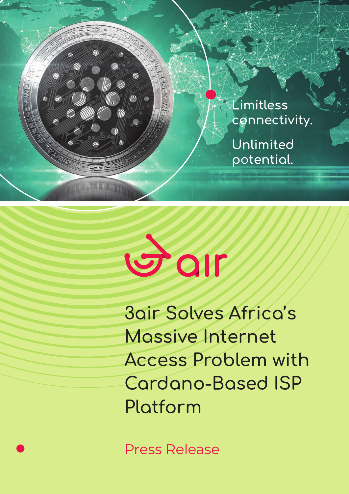

## Goir

**3air Solves Africa's**  Massive Internet **Access Problem with Cardano-Based ISP Platform**

Press Release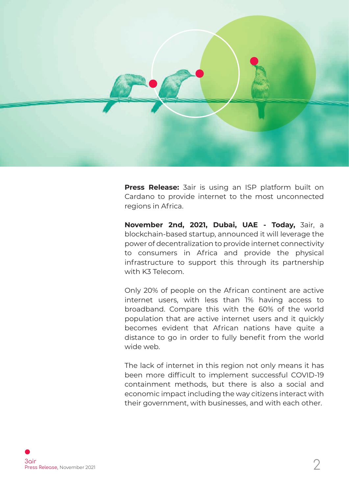

**Press Release:** 3air is using an ISP platform built on Cardano to provide internet to the most unconnected regions in Africa.

**November 2nd, 2021, Dubai, UAE - Today,** 3air, a blockchain-based startup, announced it will leverage the power of decentralization to provide internet connectivity to consumers in Africa and provide the physical infrastructure to support this through its partnership with K3 Telecom.

Only 20% of people on the African continent are active internet users, with less than 1% having access to broadband. Compare this with the 60% of the world population that are active internet users and it quickly becomes evident that African nations have quite a distance to go in order to fully benefit from the world wide web.

The lack of internet in this region not only means it has been more difficult to implement successful COVID-19 containment methods, but there is also a social and economic impact including the way citizens interact with their government, with businesses, and with each other.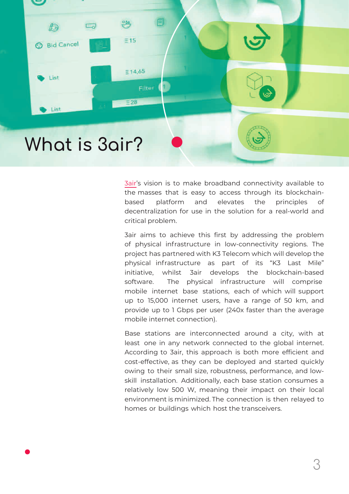

[3air'](https://3air.io/token-presale)s vision is to make broadband connectivity available to the masses that is easy to access through its blockchainbased platform and elevates the principles of decentralization for use in the solution for a real-world and critical problem.

3air aims to achieve this first by addressing the problem of physical infrastructure in low-connectivity regions. The project has partnered with K3 Telecom which will develop the physical infrastructure as part of its "K3 Last Mile" initiative, whilst 3air develops the blockchain-based software. The physical infrastructure will comprise mobile internet base stations, each of which will support up to 15,000 internet users, have a range of 50 km, and provide up to 1 Gbps per user (240x faster than the average mobile internet connection).

Base stations are interconnected around a city, with at least one in any network connected to the global internet. According to 3air, this approach is both more efficient and cost-effective, as they can be deployed and started quickly owing to their small size, robustness, performance, and lowskill installation. Additionally, each base station consumes a relatively low 500 W, meaning their impact on their local environment is minimized. The connection is then relayed to homes or buildings which host the transceivers.

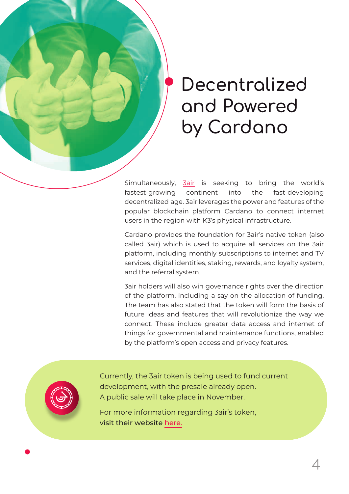## **Decentralized and Powered by Cardano**

Simultaneously, 3air is seeking to bring the world's fastest-growing continent into the fast-developing decentralized age. 3air leverages the power and features of the popular blockchain platform Cardano to connect internet users in the region with K3's physical infrastructure.

Cardano provides the foundation for 3air's native token (also called 3air) which is used to acquire all services on the 3air platform, including monthly subscriptions to internet and TV services, digital identities, staking, rewards, and loyalty system, and the referral system.

3air holders will also win governance rights over the direction of the platform, including a say on the allocation of funding. The team has also stated that the token will form the basis of future ideas and features that will revolutionize the way we connect. These include greater data access and internet of things for governmental and maintenance functions, enabled by the platform's open access and privacy features.



Currently, the 3air token is being used to fund current development, with the presale already open. A public sale will take place in November.

For more information regarding 3air's token, visit their website [here.](https://3air.io/token-presale)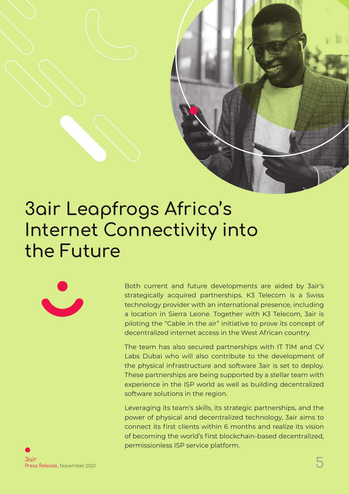

## **3air Leapfrogs Africa's Internet Connectivity into the Future**



Both current and future developments are aided by 3air's strategically acquired partnerships. K3 Telecom is a Swiss technology provider with an international presence, including a location in Sierra Leone. Together with K3 Telecom, 3air is piloting the "Cable in the air" initiative to prove its concept of decentralized internet access in the West African country.

The team has also secured partnerships with IT TIM and CV Labs Dubai who will also contribute to the development of the physical infrastructure and software 3air is set to deploy. These partnerships are being supported by a stellar team with experience in the ISP world as well as building decentralized software solutions in the region.

Leveraging its team's skills, its strategic partnerships, and the power of physical and decentralized technology, 3air aims to connect its first clients within 6 months and realize its vision of becoming the world's first blockchain-based decentralized, permissionless ISP service platform.